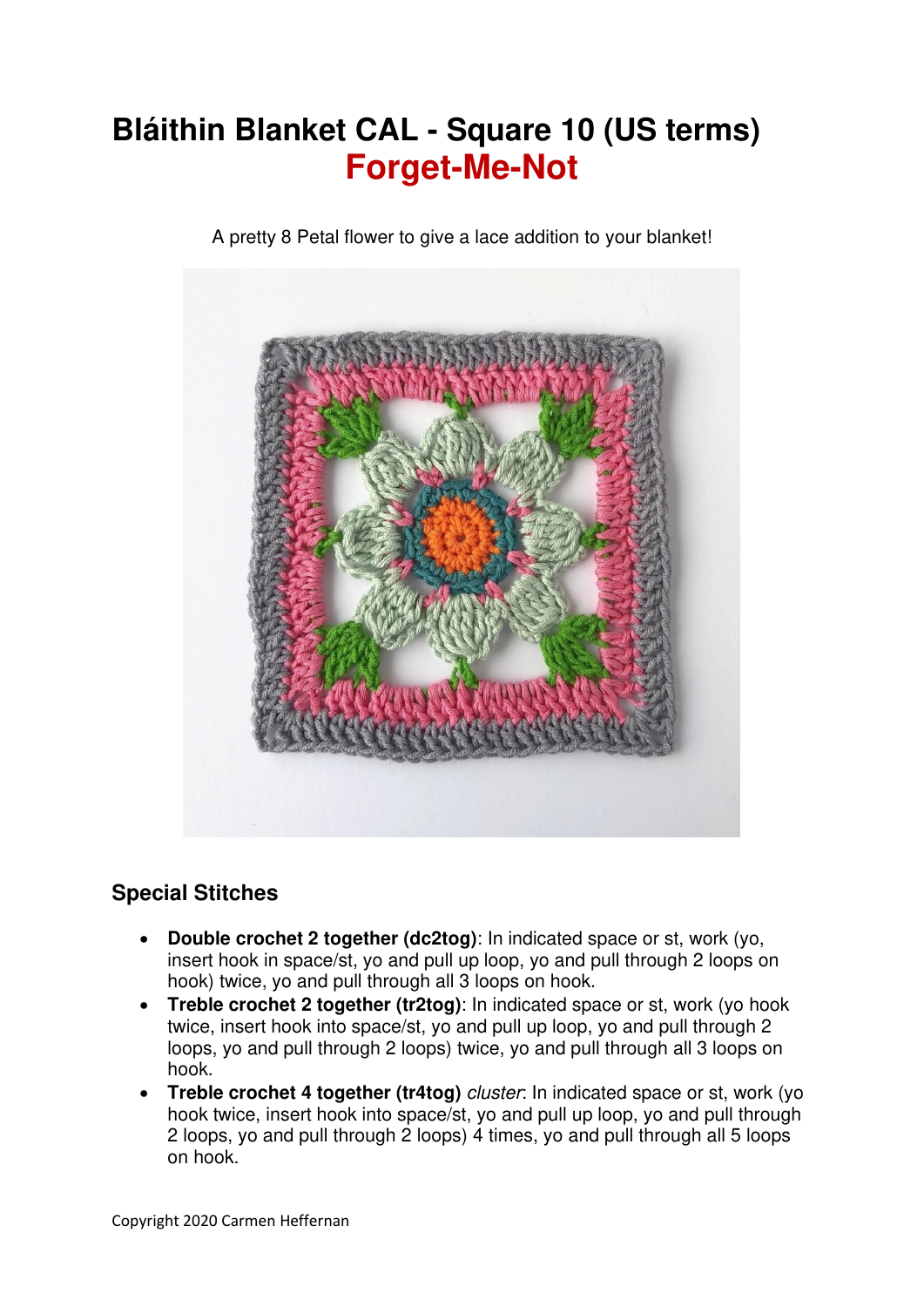## **Bláithin Blanket CAL - Square 10 (US terms) Forget-Me-Not**

A pretty 8 Petal flower to give a lace addition to your blanket!



## **Special Stitches**

- **Double crochet 2 together (dc2tog)**: In indicated space or st, work (yo, insert hook in space/st, yo and pull up loop, yo and pull through 2 loops on hook) twice, yo and pull through all 3 loops on hook.
- **Treble crochet 2 together (tr2tog)**: In indicated space or st, work (yo hook twice, insert hook into space/st, yo and pull up loop, yo and pull through 2 loops, yo and pull through 2 loops) twice, yo and pull through all 3 loops on hook.
- **Treble crochet 4 together (tr4tog)** *cluster*: In indicated space or st, work (yo hook twice, insert hook into space/st, yo and pull up loop, yo and pull through 2 loops, yo and pull through 2 loops) 4 times, yo and pull through all 5 loops on hook.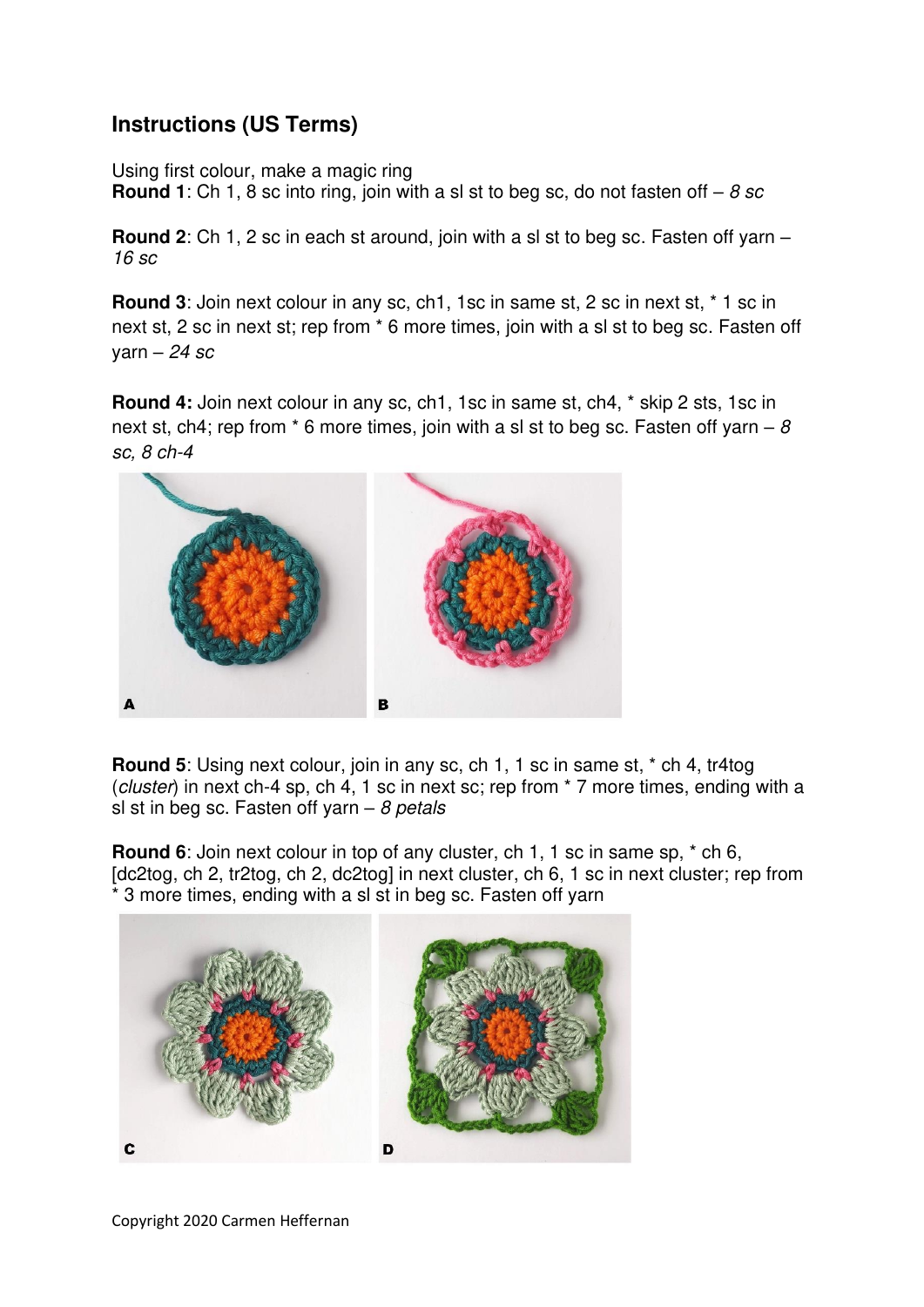## **Instructions (US Terms)**

Using first colour, make a magic ring

**Round 1**: Ch 1, 8 sc into ring, join with a sl st to beg sc, do not fasten off  $-8$  sc

**Round 2**: Ch 1, 2 sc in each st around, join with a sl st to beg sc. Fasten off yarn – 16 sc

**Round 3**: Join next colour in any sc, ch1, 1sc in same st, 2 sc in next st, \* 1 sc in next st, 2 sc in next st; rep from \* 6 more times, join with a sl st to beg sc. Fasten off yarn –  $24$  sc

**Round 4:** Join next colour in any sc, ch1, 1sc in same st, ch4, \* skip 2 sts, 1sc in next st, ch4; rep from  $*$  6 more times, join with a sl st to beg sc. Fasten off yarn –  $8$ sc, 8 ch-4



**Round 5**: Using next colour, join in any sc, ch 1, 1 sc in same st, \* ch 4, tr4tog (cluster) in next ch-4 sp, ch 4, 1 sc in next sc; rep from \* 7 more times, ending with a sl st in beg sc. Fasten off yarn  $-$  8 petals

**Round 6**: Join next colour in top of any cluster, ch 1, 1 sc in same sp,  $*$  ch 6, [dc2tog, ch 2, tr2tog, ch 2, dc2tog] in next cluster, ch 6, 1 sc in next cluster; rep from \* 3 more times, ending with a sl st in beg sc. Fasten off yarn